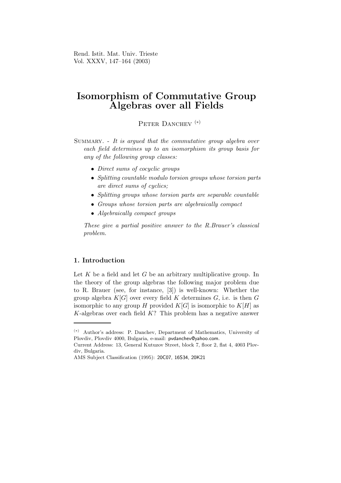Rend. Istit. Mat. Univ. Trieste Vol. XXXV, 147–164 (2003)

# Isomorphism of Commutative Group Algebras over all Fields

PETER DANCHEV<sup>(\*)</sup>

SUMMARY.  $-$  It is argued that the commutative group algebra over each field determines up to an isomorphism its group basis for any of the following group classes:

- Direct sums of cocyclic groups
- Splitting countable modulo torsion groups whose torsion parts are direct sums of cyclics;
- Splitting groups whose torsion parts are separable countable
- Groups whose torsion parts are algebraically compact
- Algebraically compact groups

These give a partial positive answer to the R.Brauer's classical problem.

# 1. Introduction

Let  $K$  be a field and let  $G$  be an arbitrary multiplicative group. In the theory of the group algebras the following major problem due to R. Brauer (see, for instance, [3]) is well-known: Whether the group algebra  $K[G]$  over every field K determines G, i.e. is then G isomorphic to any group H provided  $K[G]$  is isomorphic to  $K[H]$  as K-algebras over each field  $K$ ? This problem has a negative answer

<sup>(</sup>∗) Author's address: P. Danchev, Department of Mathematics, University of Plovdiv, Plovdiv 4000, Bulgaria, e-mail: pvdanchev@yahoo.com.

Current Address: 13, General Kutuzov Street, block 7, floor 2, flat 4, 4003 Plovdiv, Bulgaria.

AMS Subject Classification (1995): 20C07, 16S34, 20K21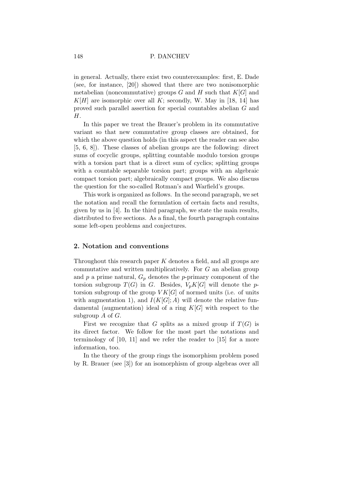in general. Actually, there exist two counterexamples: first, E. Dade (see, for instance, [20]) showed that there are two nonisomorphic metabelian (noncommutative) groups G and H such that  $K[G]$  and  $K[H]$  are isomorphic over all K; secondly, W. May in [18, 14] has proved such parallel assertion for special countables abelian G and H.

In this paper we treat the Brauer's problem in its commutative variant so that new commutative group classes are obtained, for which the above question holds (in this aspect the reader can see also [5, 6, 8]). These classes of abelian groups are the following: direct sums of cocyclic groups, splitting countable modulo torsion groups with a torsion part that is a direct sum of cyclics; splitting groups with a countable separable torsion part; groups with an algebraic compact torsion part; algebraically compact groups. We also discuss the question for the so-called Rotman's and Warfield's groups.

This work is organized as follows. In the second paragraph, we set the notation and recall the formulation of certain facts and results, given by us in [4]. In the third paragraph, we state the main results, distributed to five sections. As a final, the fourth paragraph contains some left-open problems and conjectures.

# 2. Notation and conventions

Throughout this research paper  $K$  denotes a field, and all groups are commutative and written multiplicatively. For G an abelian group and  $p$  a prime natural,  $G_p$  denotes the p-primary component of the torsion subgroup  $T(G)$  in G. Besides,  $V_pK[G]$  will denote the ptorsion subgroup of the group  $VK[G]$  of normed units (i.e. of units with augmentation 1), and  $I(K[G]; A)$  will denote the relative fundamental (augmentation) ideal of a ring  $K[G]$  with respect to the subgroup  $A$  of  $G$ .

First we recognize that G splits as a mixed group if  $T(G)$  is its direct factor. We follow for the most part the notations and terminology of [10, 11] and we refer the reader to [15] for a more information, too.

In the theory of the group rings the isomorphism problem posed by R. Brauer (see [3]) for an isomorphism of group algebras over all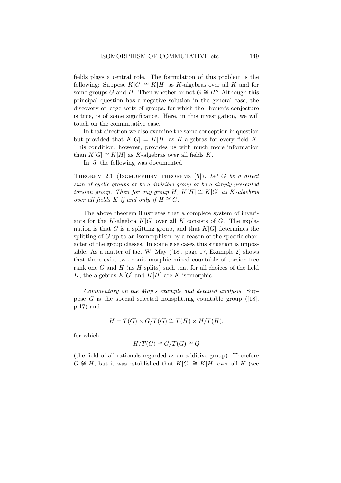fields plays a central role. The formulation of this problem is the following: Suppose  $K[G] \cong K[H]$  as K-algebras over all K and for some groups G and H. Then whether or not  $G \cong H$ ? Although this principal question has a negative solution in the general case, the discovery of large sorts of groups, for which the Brauer's conjecture is true, is of some significance. Here, in this investigation, we will touch on the commutative case.

In that direction we also examine the same conception in question but provided that  $K[G] = K[H]$  as K-algebras for every field K. This condition, however, provides us with much more information than  $K[G] \cong K[H]$  as K-algebras over all fields K.

In [5] the following was documented.

THEOREM 2.1 (ISOMORPHISM THEOREMS  $[5]$ ). Let G be a direct sum of cyclic groups or be a divisible group or be a simply presented torsion group. Then for any group H,  $K[H] \cong K[G]$  as K-algebras over all fields K if and only if  $H \cong G$ .

The above theorem illustrates that a complete system of invariants for the K-algebra  $K[G]$  over all K consists of G. The explanation is that G is a splitting group, and that  $K[G]$  determines the splitting of  $G$  up to an isomorphism by a reason of the specific character of the group classes. In some else cases this situation is impossible. As a matter of fact W. May ([18], page 17, Example 2) shows that there exist two nonisomorphic mixed countable of torsion-free rank one  $G$  and  $H$  (as  $H$  splits) such that for all choices of the field K, the algebras  $K[G]$  and  $K[H]$  are K-isomorphic.

Commentary on the May's example and detailed analysis. Suppose  $G$  is the special selected nonsplitting countable group ([18], p.17) and

$$
H = T(G) \times G/T(G) \cong T(H) \times H/T(H),
$$

for which

$$
H/T(G) \cong G/T(G) \cong Q
$$

(the field of all rationals regarded as an additive group). Therefore  $G \not\cong H$ , but it was established that  $K[G] \cong K[H]$  over all K (see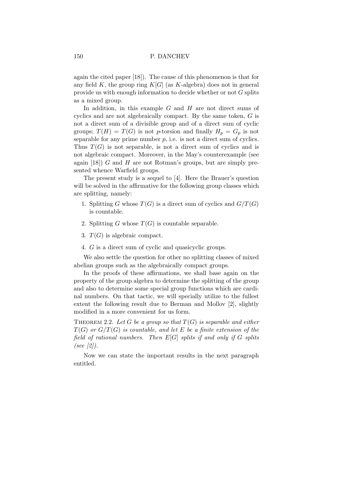again the cited paper [18]). The cause of this phenomenon is that for any field K, the group ring  $K[G]$  (as K-algebra) does not in general provide us with enough information to decide whether or not G splits as a mixed group.

In addition, in this example  $G$  and  $H$  are not direct sums of cyclics and are not algebraically compact. By the same token, G is not a direct sum of a divisible group and of a direct sum of cyclic groups;  $T(H) = T(G)$  is not p-torsion and finally  $H_p = G_p$  is not separable for any prime number  $p$ , i.e. is not a direct sum of cyclics. Thus  $T(G)$  is not separable, is not a direct sum of cyclics and is not algebraic compact. Moreover, in the May's counterexample (see again  $[18]$ ) G and H are not Rotman's groups, but are simply presented whence Warfield groups.

The present study is a sequel to [4]. Here the Brauer's question will be solved in the affirmative for the following group classes which are splitting, namely:

- 1. Splitting G whose  $T(G)$  is a direct sum of cyclics and  $G/T(G)$ is countable.
- 2. Splitting G whose  $T(G)$  is countable separable.
- 3.  $T(G)$  is algebraic compact.
- 4. G is a direct sum of cyclic and quasicyclic groups.

We also settle the question for other no splitting classes of mixed abelian groups such as the algebraically compact groups.

In the proofs of these affirmations, we shall base again on the property of the group algebra to determine the splitting of the group and also to determine some special group functions which are cardinal numbers. On that tactic, we will specially utilize to the fullest extent the following result due to Berman and Mollov [2], slightly modified in a more convenient for us form.

THEOREM 2.2. Let G be a group so that  $T(G)$  is separable and either  $T(G)$  or  $G/T(G)$  is countable, and let E be a finite extension of the field of rational numbers. Then  $E[G]$  splits if and only if G splits (see  $\lbrack 2 \rbrack$ ).

Now we can state the important results in the next paragraph entitled.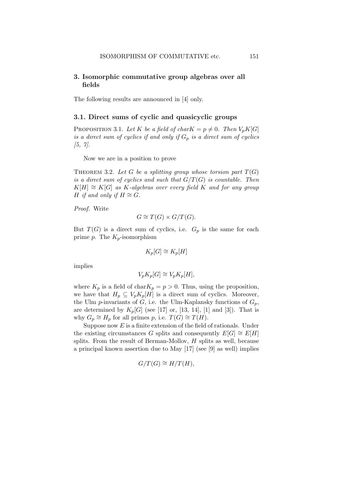# 3. Isomorphic commutative group algebras over all fields

The following results are announced in [4] only.

## 3.1. Direct sums of cyclic and quasicyclic groups

PROPOSITION 3.1. Let K be a field of charK =  $p \neq 0$ . Then  $V_pK[G]$ is a direct sum of cyclics if and only if  $G_p$  is a direct sum of cyclics  $[5, 7]$ .

Now we are in a position to prove

THEOREM 3.2. Let G be a splitting group whose torsion part  $T(G)$ is a direct sum of cyclics and such that  $G/T(G)$  is countable. Then  $K[H] \cong K[G]$  as K-algebras over every field K and for any group H if and only if  $H \cong G$ .

Proof. Write

$$
G \cong T(G) \times G/T(G).
$$

But  $T(G)$  is a direct sum of cyclics, i.e.  $G_p$  is the same for each prime p. The  $K_p$ -isomorphism

$$
K_p[G] \cong K_p[H]
$$

implies

$$
V_p K_p[G] \cong V_p K_p[H],
$$

where  $K_p$  is a field of char $K_p = p > 0$ . Thus, using the proposition, we have that  $H_p \subseteq V_p K_p[H]$  is a direct sum of cyclics. Moreover, the Ulm p-invariants of G, i.e. the Ulm-Kaplansky functions of  $G_p$ , are determined by  $K_p[G]$  (see [17] or, [13, 14], [1] and [3]). That is why  $G_p \cong H_p$  for all primes p, i.e.  $T(G) \cong T(H)$ .

Suppose now  $E$  is a finite extension of the field of rationals. Under the existing circumstances G splits and consequently  $E[G] \cong E[H]$ splits. From the result of Berman-Mollov, H splits as well, because a principal known assertion due to May [17] (see [9] as well) implies

$$
G/T(G) \cong H/T(H),
$$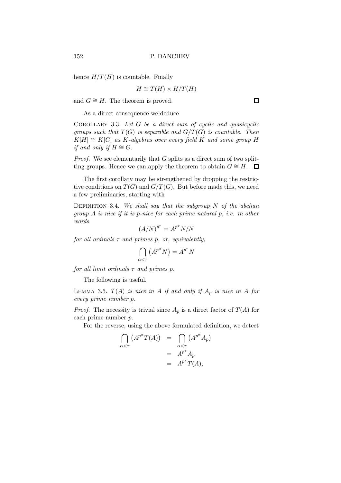hence  $H/T(H)$  is countable. Finally

$$
H \cong T(H) \times H/T(H)
$$

and  $G \cong H$ . The theorem is proved.

As a direct consequence we deduce

COROLLARY 3.3. Let  $G$  be a direct sum of cyclic and quasicyclic groups such that  $T(G)$  is separable and  $G/T(G)$  is countable. Then  $K[H] \cong K[G]$  as K-algebras over every field K and some group H if and only if  $H \cong G$ .

*Proof.* We see elementarily that  $G$  splits as a direct sum of two splitting groups. Hence we can apply the theorem to obtain  $G \cong H$ .  $\Box$ 

The first corollary may be strengthened by dropping the restrictive conditions on  $T(G)$  and  $G/T(G)$ . But before made this, we need a few preliminaries, starting with

DEFINITION 3.4. We shall say that the subgroup  $N$  of the abelian group A is nice if it is p-nice for each prime natural p, i.e. in other words

$$
(A/N)^{p^{\tau}} = A^{p^{\tau}} N/N
$$

for all ordinals  $\tau$  and primes p, or, equivalently,

$$
\bigcap_{\alpha < \tau} \left( A^{p^{\alpha}} N \right) = A^{p^{\tau}} N
$$

for all limit ordinals  $\tau$  and primes p.

The following is useful.

LEMMA 3.5.  $T(A)$  is nice in A if and only if  $A_p$  is nice in A for every prime number p.

*Proof.* The necessity is trivial since  $A_p$  is a direct factor of  $T(A)$  for each prime number p.

For the reverse, using the above formulated definition, we detect

$$
\bigcap_{\alpha < \tau} \left( A^{p^{\alpha}} T(A) \right) = \bigcap_{\alpha < \tau} \left( A^{p^{\alpha}} A_p \right) \\
= A^{p^{\tau}} A_p \\
= A^{p^{\tau}} T(A),
$$

 $\Box$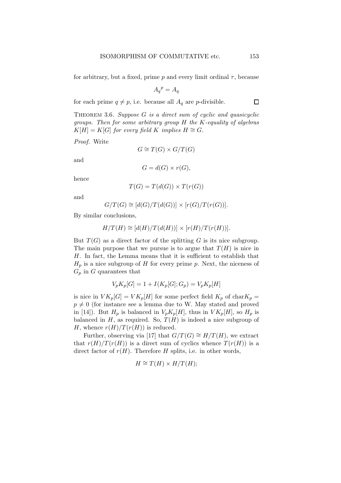for arbitrary, but a fixed, prime p and every limit ordinal  $\tau$ , because

$$
A_q{}^p = A_q
$$

for each prime  $q \neq p$ , i.e. because all  $A_q$  are p-divisible.

THEOREM 3.6. Suppose  $G$  is a direct sum of cyclic and quasicyclic groups. Then for some arbitrary group  $H$  the  $K$ -equality of algebras  $K[H] = K[G]$  for every field K implies  $H \cong G$ .

Proof. Write

$$
G\cong T(G)\times G/T(G)
$$

and

$$
G = d(G) \times r(G),
$$

hence

$$
T(G) = T(d(G)) \times T(r(G))
$$

and

$$
G/T(G) \cong [d(G)/T(d(G))] \times [r(G)/T(r(G))].
$$

By similar conclusions,

$$
H/T(H) \cong [d(H)/T(d(H))] \times [r(H)/T(r(H))].
$$

But  $T(G)$  as a direct factor of the splitting G is its nice subgroup. The main purpose that we pursue is to argue that  $T(H)$  is nice in H. In fact, the Lemma means that it is sufficient to establish that  $H_p$  is a nice subgroup of H for every prime p. Next, the niceness of  $G_p$  in G quarantees that

$$
V_p K_p[G] = 1 + I(K_p[G]; G_p) = V_p K_p[H]
$$

is nice in  $VK_p[G] = VK_p[H]$  for some perfect field  $K_p$  of char $K_p =$  $p \neq 0$  (for instance see a lemma due to W. May stated and proved in [14]). But  $H_p$  is balanced in  $V_p K_p[H]$ , thus in  $VK_p[H]$ , so  $H_p$  is balanced in  $H$ , as required. So,  $T(H)$  is indeed a nice subgroup of H, whence  $r(H)/T(r(H))$  is reduced.

Further, observing via [17] that  $G/T(G) \cong H/T(H)$ , we extract that  $r(H)/T(r(H))$  is a direct sum of cyclics whence  $T(r(H))$  is a direct factor of  $r(H)$ . Therefore H splits, i.e. in other words,

$$
H \cong T(H) \times H/T(H);
$$

 $\Box$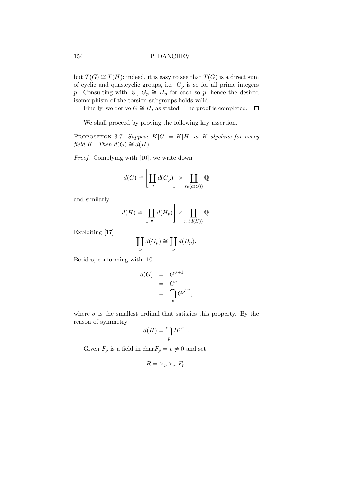but  $T(G) \cong T(H)$ ; indeed, it is easy to see that  $T(G)$  is a direct sum of cyclic and quasicyclic groups, i.e.  $G_p$  is so for all prime integers p. Consulting with [8],  $G_p \cong H_p$  for each so p, hence the desired isomorphism of the torsion subgroups holds valid.

Finally, we derive  $G \cong H$ , as stated. The proof is completed.  $\Box$ 

We shall proceed by proving the following key assertion.

PROPOSITION 3.7. Suppose  $K[G] = K[H]$  as K-algebras for every field K. Then  $d(G) \cong d(H)$ .

Proof. Complying with [10], we write down

$$
d(G) \cong \left[\coprod_p d(G_p)\right] \times \coprod_{r_0(d(G))} \mathbb{Q}
$$

and similarly

$$
d(H) \cong \left[\coprod_{p} d(H_{p})\right] \times \coprod_{r_{0}(d(H))} \mathbb{Q}.
$$

Exploiting [17],

$$
\coprod_{p} d(G_p) \cong \coprod_{p} d(H_p).
$$

Besides, conforming with [10],

$$
d(G) = G^{\sigma+1}
$$
  
= 
$$
G^{\sigma}
$$
  
= 
$$
\bigcap_{p} G^{p^{\omega \sigma}},
$$

where  $\sigma$  is the smallest ordinal that satisfies this property. By the reason of symmetry

$$
d(H) = \bigcap_{p} H^{p^{\omega \sigma}}.
$$

Given  $F_p$  is a field in char $F_p = p \neq 0$  and set

$$
R = \times_p \times_{\omega} F_p.
$$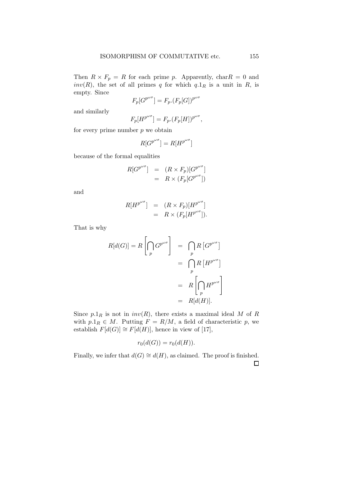Then  $R \times F_p = R$  for each prime p. Apparently, char $R = 0$  and  $inv(R)$ , the set of all primes q for which  $q \cdot 1_R$  is a unit in R, is empty. Since ωσ

$$
F_p[G^{p^{\omega \sigma}}] = F_p.(F_p[G])^{p^{\omega}}
$$

and similarly

$$
F_p[H^{p^{\omega \sigma}}] = F_p.(F_p[H])^{p^{\omega \sigma}},
$$

for every prime number  $p$  we obtain

$$
R[G^{p^{\omega \sigma}}] = R[H^{p^{\omega \sigma}}]
$$

because of the formal equalities

$$
R[G^{p^{\omega \sigma}}] = (R \times F_p)[G^{p^{\omega \sigma}}]
$$
  
=  $R \times (F_p[G^{p^{\omega \sigma}}])$ 

and

$$
R[H^{p^{\omega \sigma}}] = (R \times F_p)[H^{p^{\omega \sigma}}]
$$
  
=  $R \times (F_p[H^{p^{\omega \sigma}}]).$ 

That is why

$$
R[d(G)] = R\left[\bigcap_{p} G^{p^{\omega \sigma}}\right] = \bigcap_{p} R\left[G^{p^{\omega \sigma}}\right]
$$
  
= 
$$
\bigcap_{p} R\left[H^{p^{\omega \sigma}}\right]
$$
  
= 
$$
R\left[\bigcap_{p} H^{p^{\omega \sigma}}\right]
$$
  
= 
$$
R[d(H)].
$$

Since  $p \cdot 1_R$  is not in  $inv(R)$ , there exists a maximal ideal M of R with  $p \cdot 1_R \in M$ . Putting  $F = R/M$ , a field of characteristic p, we establish  $F[d(G)] \cong F[d(H)]$ , hence in view of [17],

$$
r_0(d(G)) = r_0(d(H)).
$$

Finally, we infer that  $d(G) \cong d(H)$ , as claimed. The proof is finished.  $\Box$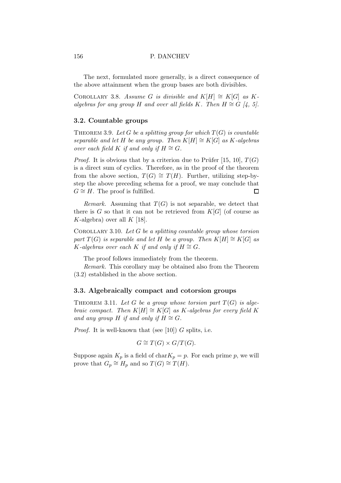The next, formulated more generally, is a direct consequence of the above attainment when the group bases are both divisibles.

COROLLARY 3.8. Assume G is divisible and K[H]  $\cong$  K[G] as Kalgebras for any group H and over all fields K. Then  $H \cong G$  [4, 5].

## 3.2. Countable groups

THEOREM 3.9. Let G be a splitting group for which  $T(G)$  is countable separable and let H be any group. Then  $K[H] \cong K[G]$  as K-algebras over each field K if and only if  $H \cong G$ .

*Proof.* It is obvious that by a criterion due to Prüfer [15, 10],  $T(G)$ is a direct sum of cyclics. Therefore, as in the proof of the theorem from the above section,  $T(G) \cong T(H)$ . Further, utilizing step-bystep the above preceding schema for a proof, we may conclude that  $G \cong H$ . The proof is fulfilled.  $\Box$ 

Remark. Assuming that  $T(G)$  is not separable, we detect that there is G so that it can not be retrieved from  $K[G]$  (of course as K-algebra) over all  $K$  [18].

COROLLARY 3.10. Let G be a splitting countable group whose torsion part  $T(G)$  is separable and let H be a group. Then  $K[H] \cong K[G]$  as K-algebras over each K if and only if  $H \cong G$ .

The proof follows immediately from the theorem.

Remark. This corollary may be obtained also from the Theorem (3.2) established in the above section.

## 3.3. Algebraically compact and cotorsion groups

THEOREM 3.11. Let G be a group whose torsion part  $T(G)$  is algebraic compact. Then  $K[H] \cong K[G]$  as K-algebras for every field K and any group H if and only if  $H \cong G$ .

*Proof.* It is well-known that (see [10]) G splits, i.e.

$$
G \cong T(G) \times G/T(G).
$$

Suppose again  $K_p$  is a field of char $K_p = p$ . For each prime p, we will prove that  $G_p \cong H_p$  and so  $T(G) \cong T(H)$ .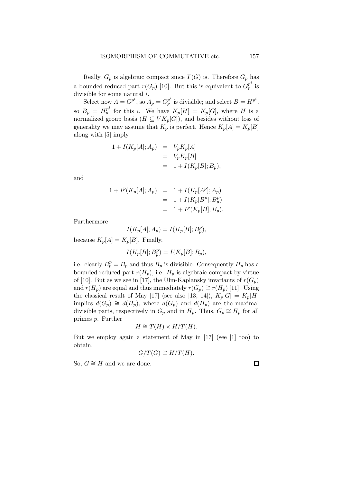Really,  $G_p$  is algebraic compact since  $T(G)$  is. Therefore  $G_p$  has a bounded reduced part  $r(G_p)$  [10]. But this is equivalent to  $G_p^{p^i}$  is divisible for some natural  $i$ .

Select now  $A = G^{p^i}$ , so  $A_p = G_p^{p^i}$  is divisible; and select  $B = H^{p^i}$ , so  $B_p = H_p^{p^i}$  for this *i*. We have  $K_p[H] = K_p[G]$ , where *H* is a normalized group basis  $(H \subseteq VK_p[G])$ , and besides without loss of generality we may assume that  $K_p$  is perfect. Hence  $K_p[A] = K_p[B]$ along with [5] imply

$$
1 + I(K_p[A]; A_p) = V_p K_p[A]
$$
  
=  $V_p K_p[B]$   
=  $1 + I(K_p[B]; B_p)$ ,

and

$$
1 + I^{p}(K_{p}[A]; A_{p}) = 1 + I(K_{p}[A^{p}]; A_{p})
$$
  
= 1 + I(K\_{p}[B^{p}]; B\_{p}^{p})  
= 1 + I^{p}(K\_{p}[B]; B\_{p}).

Furthermore

$$
I(K_p[A]; A_p) = I(K_p[B]; B_p^p),
$$

because  $K_p[A] = K_p[B]$ . Finally,

$$
I(K_p[B]; B_p^p) = I(K_p[B]; B_p),
$$

i.e. clearly  $B_p^p = B_p$  and thus  $B_p$  is divisible. Consequently  $H_p$  has a bounded reduced part  $r(H_p)$ , i.e.  $H_p$  is algebraic compact by virtue of [10]. But as we see in [17], the Ulm-Kaplansky invariants of  $r(G_p)$ and  $r(H_p)$  are equal and thus immediately  $r(G_p) \cong r(H_p)$  [11]. Using the classical result of May [17] (see also [13, 14]),  $K_p[G] = K_p[H]$ implies  $d(G_p) \cong d(H_p)$ , where  $d(G_p)$  and  $d(H_p)$  are the maximal divisible parts, respectively in  $G_p$  and in  $H_p$ . Thus,  $G_p \cong H_p$  for all primes p. Further

$$
H \cong T(H) \times H/T(H).
$$

But we employ again a statement of May in [17] (see [1] too) to obtain,

$$
G/T(G) \cong H/T(H).
$$

So,  $G \cong H$  and we are done.

 $\Box$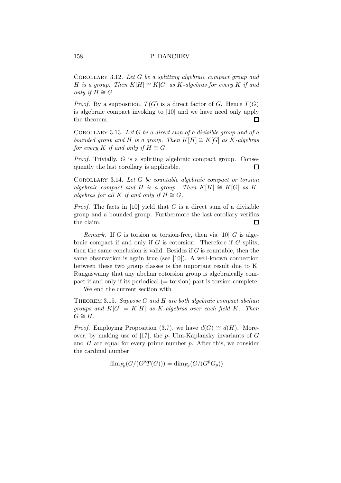COROLLARY 3.12. Let  $G$  be a splitting algebraic compact group and H is a group. Then  $K[H] \cong K[G]$  as K-algebras for every K if and *only* if  $H \cong G$ .

*Proof.* By a supposition,  $T(G)$  is a direct factor of G. Hence  $T(G)$ is algebraic compact invoking to [10] and we have need only apply the theorem.  $\Box$ 

COROLLARY 3.13. Let  $G$  be a direct sum of a divisible group and of a bounded group and H is a group. Then  $K[H] \cong K[G]$  as K-algebras for every K if and only if  $H \cong G$ .

Proof. Trivially, G is a splitting algebraic compact group. Consequently the last corollary is applicable.  $\Box$ 

COROLLARY 3.14. Let  $G$  be countable algebraic compact or torsion algebraic compact and H is a group. Then  $K[H] \cong K[G]$  as Kalgebras for all K if and only if  $H \cong G$ .

*Proof.* The facts in [10] yield that  $G$  is a direct sum of a divisible group and a bounded group. Furthermore the last corollary verifies the claim.  $\Box$ 

Remark. If G is torsion or torsion-free, then via  $[10]$  G is algebraic compact if and only if  $G$  is cotorsion. Therefore if  $G$  splits, then the same conclusion is valid. Besides if  $G$  is countable, then the same observation is again true (see [10]). A well-known connection between these two group classes is the important result due to K. Rangaswamy that any abelian cotorsion group is algebraically compact if and only if its periodical  $(=$  torsion) part is torsion-complete.

We end the current section with

THEOREM 3.15. Suppose  $G$  and  $H$  are both algebraic compact abelian groups and  $K[G] = K[H]$  as K-algebras over each field K. Then  $G \cong H$ .

*Proof.* Employing Proposition (3.7), we have  $d(G) \cong d(H)$ . Moreover, by making use of [17], the  $p$ - Ulm-Kaplansky invariants of  $G$ and  $H$  are equal for every prime number  $p$ . After this, we consider the cardinal number

 $\dim_{F_p}(G/(G^pT(G))) = \dim_{F_p}(G/(G^pG_p))$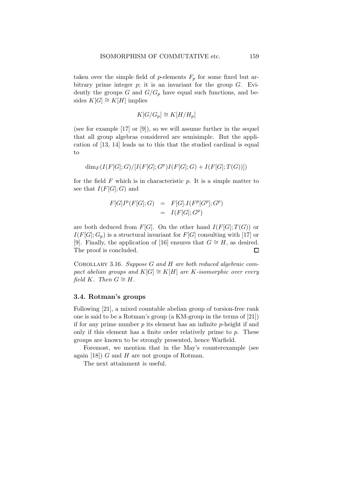taken over the simple field of p-elements  $F_p$  for some fixed but arbitrary prime integer  $p$ ; it is an invariant for the group  $G$ . Evidently the groups G and  $G/G_p$  have equal such functions, and besides  $K[G] \cong K[H]$  implies

$$
K[G/G_p] \cong K[H/H_p]
$$

(see for example [17] or [9]), so we will assume further in the sequel that all group algebras considered are semisimple. But the application of [13, 14] leads us to this that the studied cardinal is equal to

$$
\dim_F(I(F[G];G)/[I(F[G];G^p)I(F[G];G)+I(F[G];T(G))])
$$

for the field  $F$  which is in characteristic  $p$ . It is a simple matter to see that  $I(F[G];G)$  and

$$
F[G]Ip(F[G];G) = F[G].I(Fp[Gp];Gp)
$$
  
= I(F[G];G<sup>p</sup>)

are both deduced from  $F[G]$ . On the other hand  $I(F[G];T(G))$  or  $I(F[G]; G_p)$  is a structural invariant for  $F[G]$  consulting with [17] or [9]. Finally, the application of [16] ensures that  $G \cong H$ , as desired. The proof is concluded.  $\Box$ 

COROLLARY 3.16. Suppose  $G$  and  $H$  are both reduced algebraic compact abelian groups and  $K[G] \cong K[H]$  are K-isomorphic over every field K. Then  $G \cong H$ .

#### 3.4. Rotman's groups

Following [21], a mixed countable abelian group of torsion-free rank one is said to be a Rotman's group (a KM-group in the terms of [21]) if for any prime number  $p$  its element has an infinite  $p$ -height if and only if this element has a finite order relatively prime to  $p$ . These groups are known to be strongly presented, hence Warfield.

Foremost, we mention that in the May's counterexample (see again [18]) G and H are not groups of Rotman.

The next attainment is useful.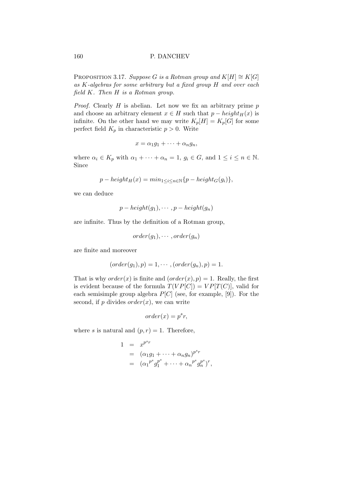PROPOSITION 3.17. Suppose G is a Rotman group and  $K[H] \cong K[G]$ as K-algebras for some arbitrary but a fixed group H and over each field K. Then H is a Rotman group.

*Proof.* Clearly  $H$  is abelian. Let now we fix an arbitrary prime  $p$ and choose an arbitrary element  $x \in H$  such that  $p - height_H(x)$  is infinite. On the other hand we may write  $K_p[H] = K_p[G]$  for some perfect field  $K_p$  in characteristic  $p > 0$ . Write

$$
x = \alpha_1 g_1 + \dots + \alpha_n g_n,
$$

where  $\alpha_i \in K_p$  with  $\alpha_1 + \cdots + \alpha_n = 1$ ,  $g_i \in G$ , and  $1 \leq i \leq n \in \mathbb{N}$ . Since

$$
p - height_H(x) = min_{1 \le i \le n \in \mathbb{N}} \{p - height_G(g_i)\},\
$$

we can deduce

$$
p - height(g_1), \cdots, p - height(g_n)
$$

are infinite. Thus by the definition of a Rotman group,

$$
order(g_1), \cdots, order(g_n)
$$

are finite and moreover

$$
(order(g_1), p) = 1, \cdots, (order(g_n), p) = 1.
$$

That is why  $order(x)$  is finite and  $(order(x), p) = 1$ . Really, the first is evident because of the formula  $T(VP[C]) = VP[T(C)]$ , valid for each semisimple group algebra  $P[C]$  (see, for example, [9]). For the second, if  $p$  divides  $order(x)$ , we can write

$$
order(x) = p^s r,
$$

where s is natural and  $(p, r) = 1$ . Therefore,

$$
1 = x^{p^s r}
$$
  
=  $(\alpha_1 g_1 + \cdots + \alpha_n g_n)^{p^s r}$   
=  $(\alpha_1^{p^s} g_1^{p^s} + \cdots + \alpha_n^{p^s} g_n^{p^s})^r$ ,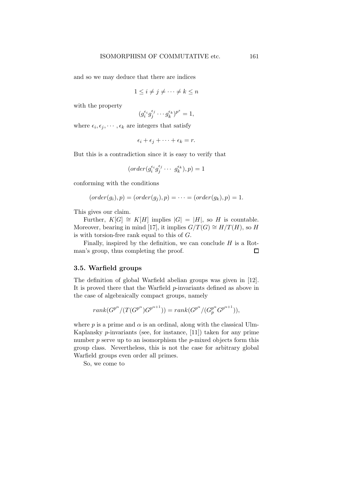and so we may deduce that there are indices

$$
1 \le i \ne j \ne \cdots \ne k \le n
$$

with the property

$$
(g_i^{\epsilon_i}g_j^{\epsilon_j}\cdots g_k^{\epsilon_k})^{p^s}=1,
$$

where  $\epsilon_i, \epsilon_j, \cdots, \epsilon_k$  are integers that satisfy

$$
\epsilon_i + \epsilon_j + \cdots + \epsilon_k = r.
$$

But this is a contradiction since it is easy to verify that

$$
(order(g_i^{\epsilon_i}g_j^{\epsilon_j}\cdots g_k^{\epsilon_k}), p) = 1
$$

conforming with the conditions

$$
(order(g_i), p) = (order(g_j), p) = \cdots = (order(g_k), p) = 1.
$$

This gives our claim.

Further,  $K[G] \cong K[H]$  implies  $|G| = |H|$ , so H is countable. Moreover, bearing in mind [17], it implies  $G/T(G) \cong H/T(H)$ , so H is with torsion-free rank equal to this of G.

Finally, inspired by the definition, we can conclude  $H$  is a Rotman's group, thus completing the proof.  $\Box$ 

# 3.5. Warfield groups

The definition of global Warfield abelian groups was given in [12]. It is proved there that the Warfield p-invariants defined as above in the case of algebraically compact groups, namely

$$
rank(G^{p^{\alpha}}/(T(G^{p^{\alpha}})G^{p^{\alpha+1}})) = rank(G^{p^{\alpha}}/(G_p^{p^{\alpha}}G^{p^{\alpha+1}})),
$$

where p is a prime and  $\alpha$  is an ordinal, along with the classical Ulm-Kaplansky  $p$ -invariants (see, for instance, [11]) taken for any prime number  $p$  serve up to an isomorphism the  $p$ -mixed objects form this group class. Nevertheless, this is not the case for arbitrary global Warfield groups even order all primes.

So, we come to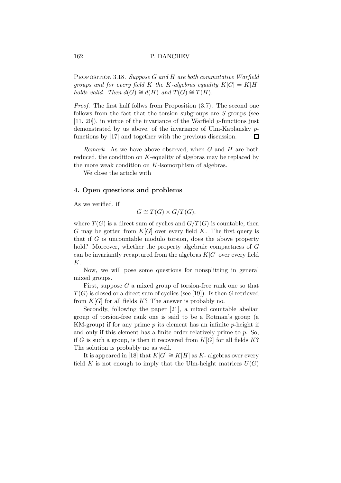PROPOSITION 3.18. Suppose G and H are both commutative Warfield groups and for every field K the K-algebras equality  $K[G] = K[H]$ holds valid. Then  $d(G) \cong d(H)$  and  $T(G) \cong T(H)$ .

Proof. The first half follws from Proposition (3.7). The second one follows from the fact that the torsion subgroups are S-groups (see  $[11, 20]$ , in virtue of the invariance of the Warfield *p*-functions just demonstrated by us above, of the invariance of Ulm-Kaplansky pfunctions by [17] and together with the previous discussion. П

Remark. As we have above observed, when G and H are both reduced, the condition on K-equality of algebras may be replaced by the more weak condition on K-isomorphism of algebras.

We close the article with

# 4. Open questions and problems

As we verified, if

$$
G \cong T(G) \times G/T(G),
$$

where  $T(G)$  is a direct sum of cyclics and  $G/T(G)$  is countable, then G may be gotten from  $K[G]$  over every field K. The first query is that if  $G$  is uncountable modulo torsion, does the above property hold? Moreover, whether the property algebraic compactness of G can be invariantly recaptured from the algebras  $K[G]$  over every field K.

Now, we will pose some questions for nonsplitting in general mixed groups.

First, suppose  $G$  a mixed group of torsion-free rank one so that  $T(G)$  is closed or a direct sum of cyclics (see [19]). Is then G retrieved from  $K[G]$  for all fields  $K?$  The answer is probably no.

Secondly, following the paper [21], a mixed countable abelian group of torsion-free rank one is said to be a Rotman's group (a KM-group) if for any prime  $p$  its element has an infinite  $p$ -height if and only if this element has a finite order relatively prime to p. So, if G is such a group, is then it recovered from  $K[G]$  for all fields  $K$ ? The solution is probably no as well.

It is appeared in [18] that  $K[G] \cong K[H]$  as K- algebras over every field K is not enough to imply that the Ulm-height matrices  $U(G)$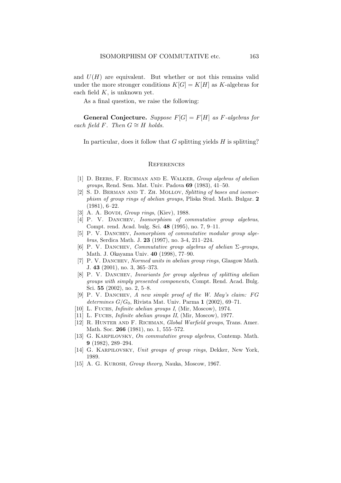and  $U(H)$  are equivalent. But whether or not this remains valid under the more stronger conditions  $K[G] = K[H]$  as K-algebras for each field  $K$ , is unknown yet.

As a final question, we raise the following:

**General Conjecture.** Suppose  $F[G] = F[H]$  as F-algebras for each field F. Then  $G \cong H$  holds.

In particular, does it follow that  $G$  splitting yields  $H$  is splitting?

#### **REFERENCES**

- [1] D. BEERS, F. RICHMAN AND E. WALKER, Group algebras of abelian groups, Rend. Sem. Mat. Univ. Padova 69 (1983), 41–50.
- [2] S. D. BERMAN AND T. ZH. MOLLOV, Splitting of bases and isomorphism of group rings of abelian groups, Pliska Stud. Math. Bulgar. 2 (1981), 6–22.
- [3] A. A. Bovdi, Group rings, (Kiev),  $1988$ .
- [4] P. V. DANCHEV, Isomorphism of commutative group algebras, Compt. rend. Acad. bulg. Sci. 48 (1995), no. 7, 9–11.
- [5] P. V. DANCHEV, Isomorphism of commutative modular group algebras, Serdica Math. J. 23 (1997), no. 3-4, 211–224.
- [6] P. V. DANCHEV, Commutative group algebras of abelian  $\Sigma$ -groups, Math. J. Okayama Univ. 40 (1998), 77–90.
- [7] P. V. DANCHEV, Normed units in abelian group rings, Glasgow Math. J. 43 (2001), no. 3, 365–373.
- [8] P. V. DANCHEV, *Invariants* for group algebras of splitting abelian groups with simply presented components, Compt. Rend. Acad. Bulg. Sci. 55 (2002), no. 2, 5–8.
- $[9]$  P. V. DANCHEV, A new simple proof of the W. May's claim: FG determines  $G/G_0$ , Rivista Mat. Univ. Parma 1 (2002), 69–71.
- [10] L. FUCHS, *Infinite abelian groups I*, (Mir, Moscow), 1974.
- [11] L. Fuchs, *Infinite abelian groups II*, (Mir, Moscow), 1977.
- [12] R. HUNTER AND F. RICHMAN, Global Warfield groups, Trans. Amer. Math. Soc. **266** (1981), no. 1, 555–572.
- [13] G. KARPILOVSKY, On commutative group algebras, Contemp. Math. 9 (1982), 289–294.
- [14] G. KARPILOVSKY, Unit groups of group rings, Dekker, New York, 1989.
- [15] A. G. KUROSH, *Group theory*, Nauka, Moscow, 1967.